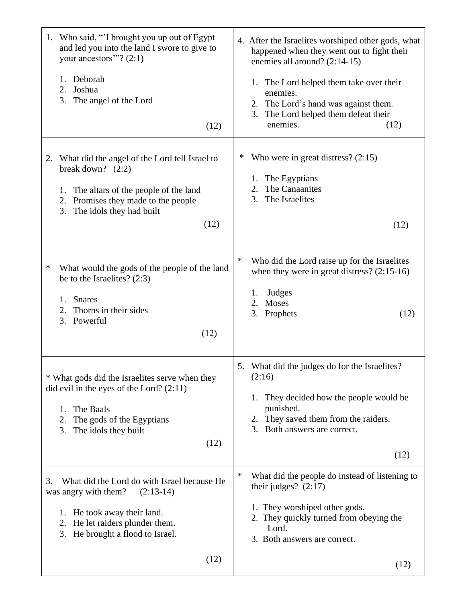| Who said, "I brought you up out of Egypt<br>1.<br>and led you into the land I swore to give to<br>your ancestors"? $(2:1)$<br>Deborah<br>1.<br>2.<br>Joshua<br>3.<br>The angel of the Lord<br>(12)           | 4. After the Israelites worshiped other gods, what<br>happened when they went out to fight their<br>enemies all around? (2:14-15)<br>1. The Lord helped them take over their<br>enemies.<br>2. The Lord's hand was against them.<br>The Lord helped them defeat their<br>3.<br>enemies.<br>(12) |
|--------------------------------------------------------------------------------------------------------------------------------------------------------------------------------------------------------------|-------------------------------------------------------------------------------------------------------------------------------------------------------------------------------------------------------------------------------------------------------------------------------------------------|
| What did the angel of the Lord tell Israel to<br>2.<br>break down? $(2:2)$<br>The altars of the people of the land<br>1.<br>Promises they made to the people<br>2.<br>3.<br>The idols they had built<br>(12) | Who were in great distress? $(2:15)$<br>∗<br>1. The Egyptians<br>The Canaanites<br>2.<br>3.<br>The Israelites<br>(12)                                                                                                                                                                           |
| ∗<br>What would the gods of the people of the land<br>be to the Israelites? $(2:3)$<br><b>Snares</b><br>1.<br>Thorns in their sides<br>2.<br>3.<br>Powerful<br>(12)                                          | $\ast$<br>Who did the Lord raise up for the Israelites<br>when they were in great distress? $(2:15-16)$<br>Judges<br>1.<br>Moses<br>2.<br>3.<br>Prophets<br>(12)                                                                                                                                |
| * What gods did the Israelites serve when they<br>did evil in the eyes of the Lord? $(2:11)$<br>The Baals<br>1.<br>2.<br>The gods of the Egyptians<br>3.<br>The idols they built<br>(12)                     | 5. What did the judges do for the Israelites?<br>(2:16)<br>They decided how the people would be<br>1.<br>punished.<br>2. They saved them from the raiders.<br>3. Both answers are correct.<br>(12)                                                                                              |
| What did the Lord do with Israel because He<br>3.<br>was angry with them?<br>$(2:13-14)$<br>1. He took away their land.<br>He let raiders plunder them.<br>2.<br>He brought a flood to Israel.<br>3.<br>(12) | $\ast$<br>What did the people do instead of listening to<br>their judges? $(2:17)$<br>1. They worshiped other gods.<br>2. They quickly turned from obeying the<br>Lord.<br>3. Both answers are correct.<br>(12)                                                                                 |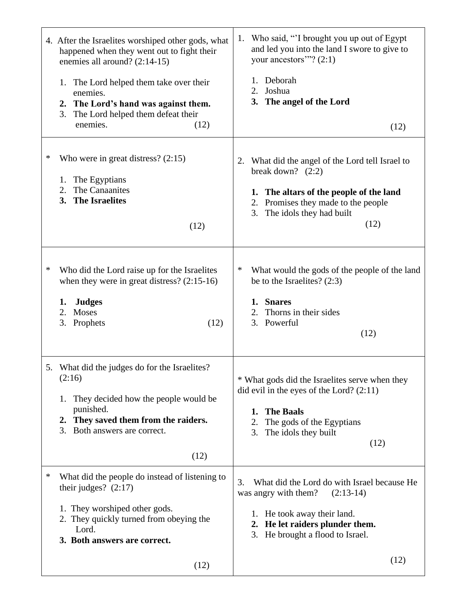|   | 4. After the Israelites worshiped other gods, what<br>happened when they went out to fight their<br>enemies all around? (2:14-15)<br>The Lord helped them take over their<br>1.<br>enemies.<br>2. The Lord's hand was against them.<br>The Lord helped them defeat their<br>3.<br>enemies.<br>(12) | Who said, "I brought you up out of Egypt<br>1.<br>and led you into the land I swore to give to<br>your ancestors"? $(2:1)$<br>1. Deborah<br>2. Joshua<br>3. The angel of the Lord<br>(12)           |
|---|----------------------------------------------------------------------------------------------------------------------------------------------------------------------------------------------------------------------------------------------------------------------------------------------------|-----------------------------------------------------------------------------------------------------------------------------------------------------------------------------------------------------|
| ∗ | Who were in great distress? $(2:15)$<br>The Egyptians<br>1.<br>The Canaanites<br>2.<br><b>The Israelites</b><br>3.<br>(12)                                                                                                                                                                         | What did the angel of the Lord tell Israel to<br>2.<br>break down? $(2:2)$<br>1. The altars of the people of the land<br>2. Promises they made to the people<br>3. The idols they had built<br>(12) |
| ∗ | Who did the Lord raise up for the Israelites<br>when they were in great distress? $(2:15-16)$<br><b>Judges</b><br>1.<br>2.<br><b>Moses</b><br>3. Prophets<br>(12)                                                                                                                                  | ∗<br>What would the gods of the people of the land<br>be to the Israelites? (2:3)<br>1. Snares<br>Thorns in their sides<br>3. Powerful<br>(12)                                                      |
|   | 5. What did the judges do for the Israelites?<br>(2:16)<br>They decided how the people would be<br>1.<br>punished.<br>2. They saved them from the raiders.<br>3.<br>Both answers are correct.<br>(12)                                                                                              | * What gods did the Israelites serve when they<br>did evil in the eyes of the Lord? $(2:11)$<br><b>The Baals</b><br>1.<br>The gods of the Egyptians<br>2.<br>The idols they built<br>3.<br>(12)     |
| ∗ | What did the people do instead of listening to<br>their judges? $(2:17)$<br>1. They worshiped other gods.<br>2. They quickly turned from obeying the<br>Lord.<br>3. Both answers are correct.                                                                                                      | What did the Lord do with Israel because He<br>3.<br>was angry with them?<br>$(2:13-14)$<br>1. He took away their land.<br>2. He let raiders plunder them.<br>3. He brought a flood to Israel.      |
|   | (12)                                                                                                                                                                                                                                                                                               | (12)                                                                                                                                                                                                |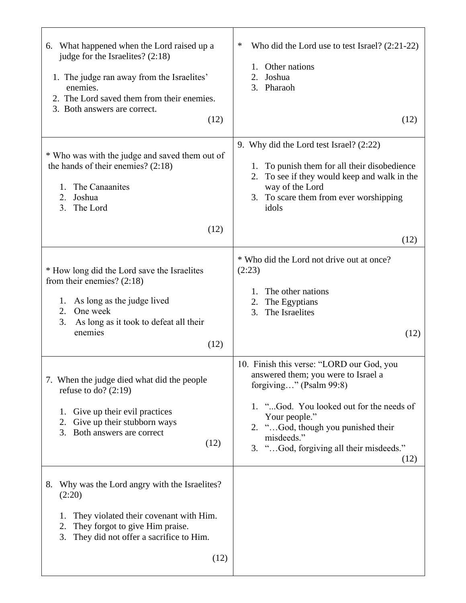| 6. What happened when the Lord raised up a<br>judge for the Israelites? (2:18)<br>1. The judge ran away from the Israelites'<br>enemies.<br>2. The Lord saved them from their enemies.<br>3. Both answers are correct.<br>(12) | ∗<br>Who did the Lord use to test Israel? $(2:21-22)$<br>1. Other nations<br>2.<br>Joshua<br>Pharaoh<br>3.<br>(12)                                                                                                                                                              |
|--------------------------------------------------------------------------------------------------------------------------------------------------------------------------------------------------------------------------------|---------------------------------------------------------------------------------------------------------------------------------------------------------------------------------------------------------------------------------------------------------------------------------|
| * Who was with the judge and saved them out of<br>the hands of their enemies? $(2:18)$<br>The Canaanites<br>1.<br>Joshua<br>2.<br>3.<br>The Lord<br>(12)                                                                       | 9. Why did the Lord test Israel? (2:22)<br>1. To punish them for all their disobedience<br>To see if they would keep and walk in the<br>2.<br>way of the Lord<br>To scare them from ever worshipping<br>3.<br>idols                                                             |
|                                                                                                                                                                                                                                | (12)                                                                                                                                                                                                                                                                            |
| * How long did the Lord save the Israelites<br>from their enemies? $(2:18)$<br>As long as the judge lived<br>1.<br>One week<br>2.<br>3.<br>As long as it took to defeat all their<br>enemies<br>(12)                           | * Who did the Lord not drive out at once?<br>(2:23)<br>The other nations<br>1.<br>The Egyptians<br>2.<br>The Israelites<br>3.<br>(12)                                                                                                                                           |
| 7. When the judge died what did the people<br>refuse to do? $(2:19)$<br>Give up their evil practices<br>1.<br>Give up their stubborn ways<br>2.<br>3.<br>Both answers are correct<br>(12)                                      | 10. Finish this verse: "LORD our God, you<br>answered them; you were to Israel a<br>forgiving" (Psalm 99:8)<br>1. "God. You looked out for the needs of<br>Your people."<br>2. "God, though you punished their<br>misdeeds."<br>3. "God, forgiving all their misdeeds."<br>(12) |
| Why was the Lord angry with the Israelites?<br>8.<br>(2:20)<br>They violated their covenant with Him.<br>1.<br>They forgot to give Him praise.<br>2.<br>3.<br>They did not offer a sacrifice to Him.<br>(12)                   |                                                                                                                                                                                                                                                                                 |